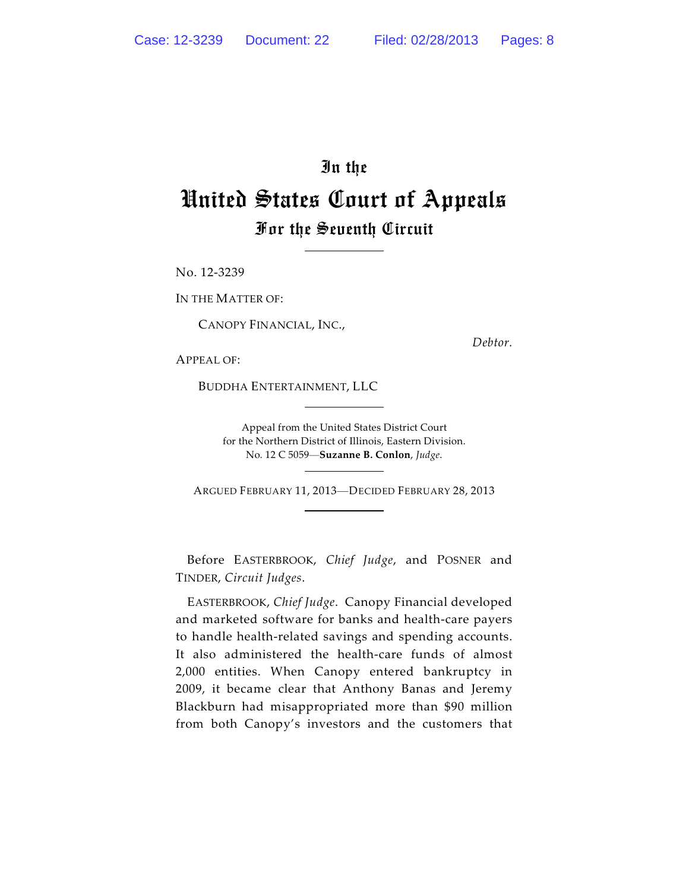## In the United States Court of Appeals For the Seventh Circuit

No. 12-3239

IN THE MATTER OF:

CANOPY FINANCIAL, INC.,

*Debtor.*

APPEAL OF:

BUDDHA ENTERTAINMENT, LLC

Appeal from the United States District Court for the Northern District of Illinois, Eastern Division. No. 12 C 5059—**Suzanne B. Conlon**, *Judge*.

ARGUED FEBRUARY 11, 2013—DECIDED FEBRUARY 28, 2013

Before EASTERBROOK, *Chief Judge*, and POSNER and TINDER, *Circuit Judges*.

EASTERBROOK, *Chief Judge*. Canopy Financial developed and marketed software for banks and health-care payers to handle health-related savings and spending accounts. It also administered the health-care funds of almost 2,000 entities. When Canopy entered bankruptcy in 2009, it became clear that Anthony Banas and Jeremy Blackburn had misappropriated more than \$90 million from both Canopy's investors and the customers that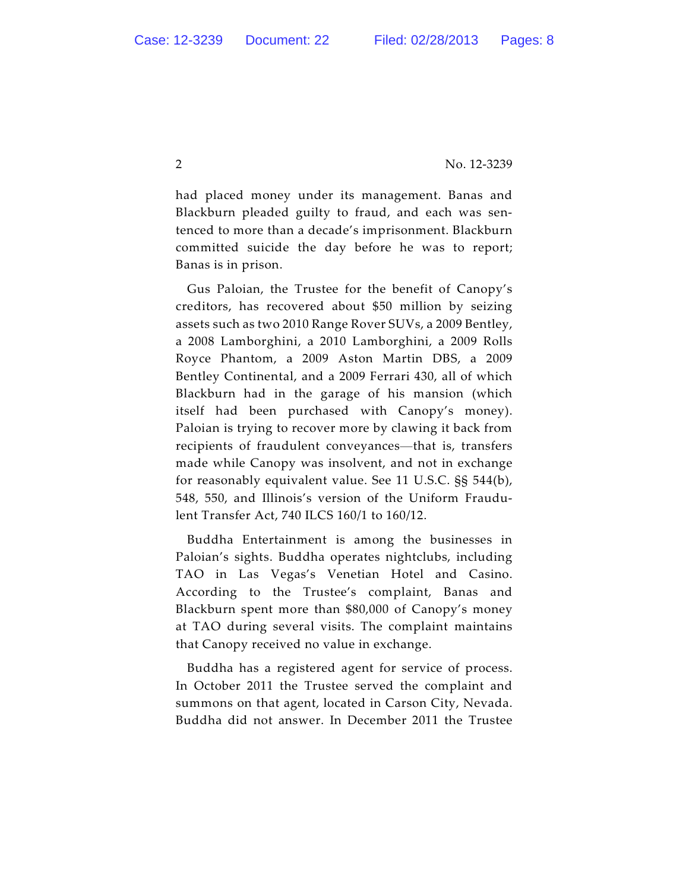had placed money under its management. Banas and Blackburn pleaded guilty to fraud, and each was sentenced to more than a decade's imprisonment. Blackburn committed suicide the day before he was to report; Banas is in prison.

Gus Paloian, the Trustee for the benefit of Canopy's creditors, has recovered about \$50 million by seizing assets such as two 2010 Range Rover SUVs, a 2009 Bentley, a 2008 Lamborghini, a 2010 Lamborghini, a 2009 Rolls Royce Phantom, a 2009 Aston Martin DBS, a 2009 Bentley Continental, and a 2009 Ferrari 430, all of which Blackburn had in the garage of his mansion (which itself had been purchased with Canopy's money). Paloian is trying to recover more by clawing it back from recipients of fraudulent conveyances—that is, transfers made while Canopy was insolvent, and not in exchange for reasonably equivalent value. See 11 U.S.C. §§ 544(b), 548, 550, and Illinois's version of the Uniform Fraudulent Transfer Act, 740 ILCS 160/1 to 160/12.

Buddha Entertainment is among the businesses in Paloian's sights. Buddha operates nightclubs, including TAO in Las Vegas's Venetian Hotel and Casino. According to the Trustee's complaint, Banas and Blackburn spent more than \$80,000 of Canopy's money at TAO during several visits. The complaint maintains that Canopy received no value in exchange.

Buddha has a registered agent for service of process. In October 2011 the Trustee served the complaint and summons on that agent, located in Carson City, Nevada. Buddha did not answer. In December 2011 the Trustee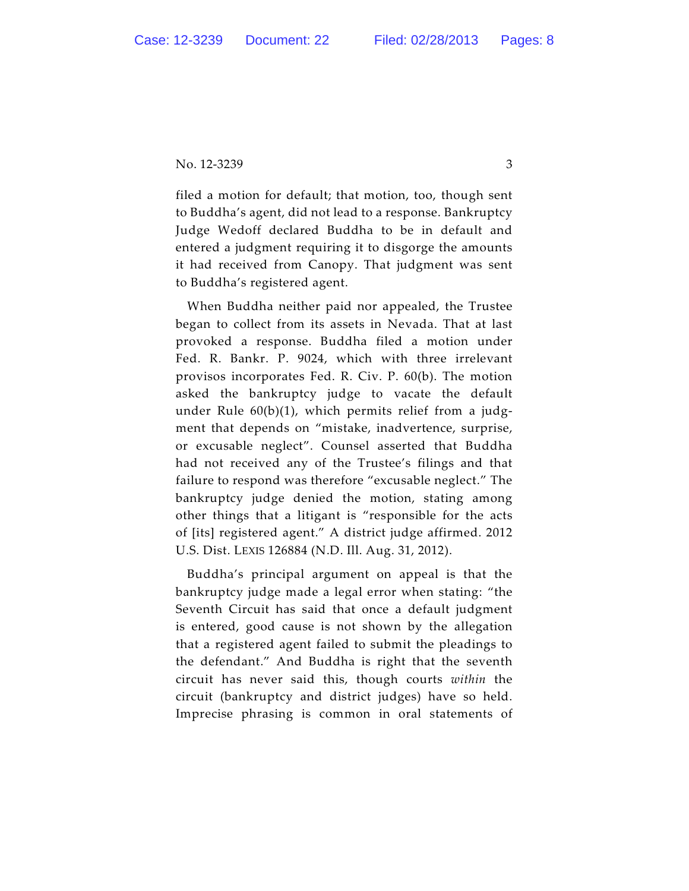No. 12-3239 3

filed a motion for default; that motion, too, though sent to Buddha's agent, did not lead to a response. Bankruptcy Judge Wedoff declared Buddha to be in default and entered a judgment requiring it to disgorge the amounts it had received from Canopy. That judgment was sent to Buddha's registered agent.

When Buddha neither paid nor appealed, the Trustee began to collect from its assets in Nevada. That at last provoked a response. Buddha filed a motion under Fed. R. Bankr. P. 9024, which with three irrelevant provisos incorporates Fed. R. Civ. P. 60(b). The motion asked the bankruptcy judge to vacate the default under Rule 60(b)(1), which permits relief from a judgment that depends on "mistake, inadvertence, surprise, or excusable neglect". Counsel asserted that Buddha had not received any of the Trustee's filings and that failure to respond was therefore "excusable neglect." The bankruptcy judge denied the motion, stating among other things that a litigant is "responsible for the acts of [its] registered agent." A district judge affirmed. 2012 U.S. Dist. LEXIS 126884 (N.D. Ill. Aug. 31, 2012).

Buddha's principal argument on appeal is that the bankruptcy judge made a legal error when stating: "the Seventh Circuit has said that once a default judgment is entered, good cause is not shown by the allegation that a registered agent failed to submit the pleadings to the defendant." And Buddha is right that the seventh circuit has never said this, though courts *within* the circuit (bankruptcy and district judges) have so held. Imprecise phrasing is common in oral statements of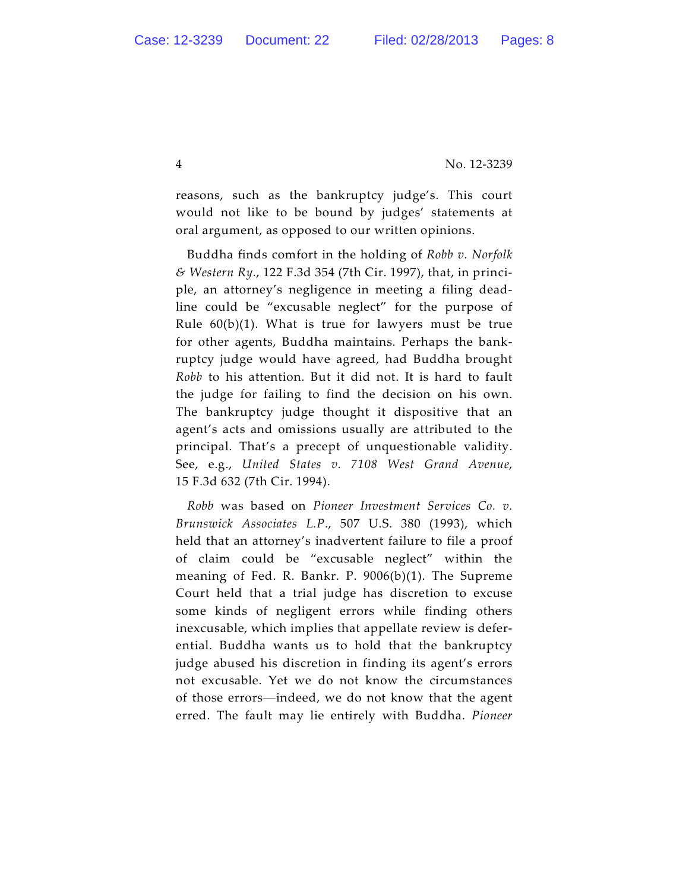reasons, such as the bankruptcy judge's. This court would not like to be bound by judges' statements at oral argument, as opposed to our written opinions.

Buddha finds comfort in the holding of *Robb v. Norfolk & Western Ry.*, 122 F.3d 354 (7th Cir. 1997), that, in principle, an attorney's negligence in meeting a filing deadline could be "excusable neglect" for the purpose of Rule  $60(b)(1)$ . What is true for lawyers must be true for other agents, Buddha maintains. Perhaps the bankruptcy judge would have agreed, had Buddha brought *Robb* to his attention. But it did not. It is hard to fault the judge for failing to find the decision on his own. The bankruptcy judge thought it dispositive that an agent's acts and omissions usually are attributed to the principal. That's a precept of unquestionable validity. See, e.g., *United States v. 7108 West Grand Avenue*, 15 F.3d 632 (7th Cir. 1994).

*Robb* was based on *Pioneer Investment Services Co. v. Brunswick Associates L.P*., 507 U.S. 380 (1993), which held that an attorney's inadvertent failure to file a proof of claim could be "excusable neglect" within the meaning of Fed. R. Bankr. P. 9006(b)(1). The Supreme Court held that a trial judge has discretion to excuse some kinds of negligent errors while finding others inexcusable, which implies that appellate review is deferential. Buddha wants us to hold that the bankruptcy judge abused his discretion in finding its agent's errors not excusable. Yet we do not know the circumstances of those errors—indeed, we do not know that the agent erred. The fault may lie entirely with Buddha. *Pioneer*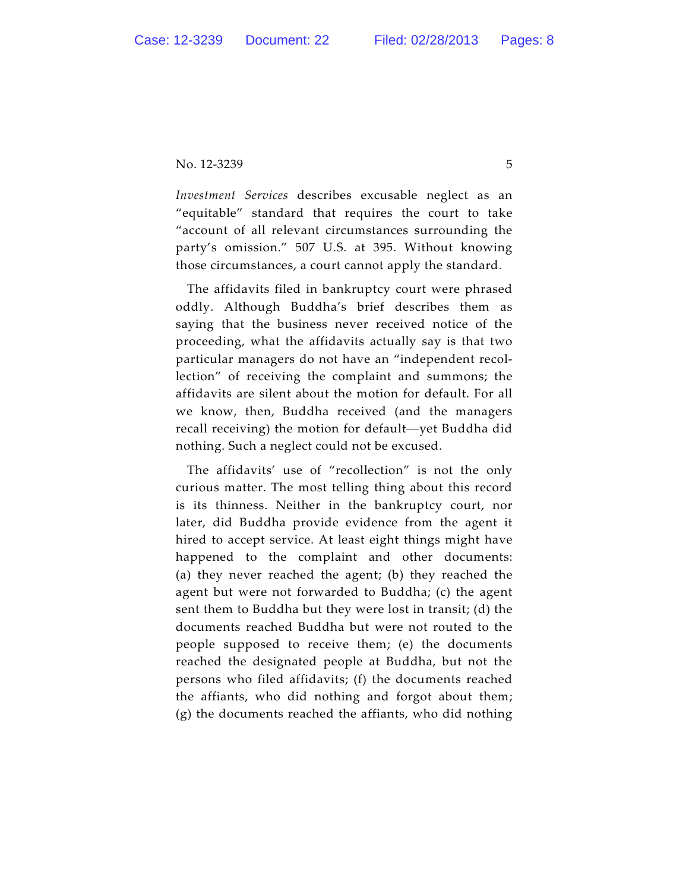No. 12-3239 5

*Investment Services* describes excusable neglect as an "equitable" standard that requires the court to take "account of all relevant circumstances surrounding the party's omission." 507 U.S. at 395. Without knowing those circumstances, a court cannot apply the standard.

The affidavits filed in bankruptcy court were phrased oddly. Although Buddha's brief describes them as saying that the business never received notice of the proceeding, what the affidavits actually say is that two particular managers do not have an "independent recollection" of receiving the complaint and summons; the affidavits are silent about the motion for default. For all we know, then, Buddha received (and the managers recall receiving) the motion for default—yet Buddha did nothing. Such a neglect could not be excused.

The affidavits' use of "recollection" is not the only curious matter. The most telling thing about this record is its thinness. Neither in the bankruptcy court, nor later, did Buddha provide evidence from the agent it hired to accept service. At least eight things might have happened to the complaint and other documents: (a) they never reached the agent; (b) they reached the agent but were not forwarded to Buddha; (c) the agent sent them to Buddha but they were lost in transit; (d) the documents reached Buddha but were not routed to the people supposed to receive them; (e) the documents reached the designated people at Buddha, but not the persons who filed affidavits; (f) the documents reached the affiants, who did nothing and forgot about them; (g) the documents reached the affiants, who did nothing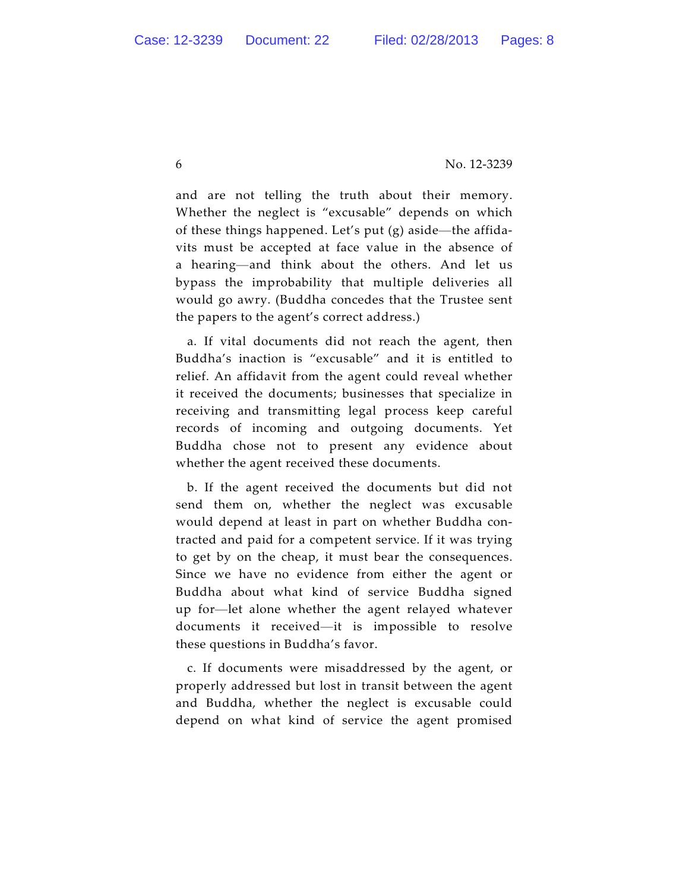and are not telling the truth about their memory. Whether the neglect is "excusable" depends on which of these things happened. Let's put (g) aside—the affidavits must be accepted at face value in the absence of a hearing—and think about the others. And let us bypass the improbability that multiple deliveries all would go awry. (Buddha concedes that the Trustee sent the papers to the agent's correct address.)

a. If vital documents did not reach the agent, then Buddha's inaction is "excusable" and it is entitled to relief. An affidavit from the agent could reveal whether it received the documents; businesses that specialize in receiving and transmitting legal process keep careful records of incoming and outgoing documents. Yet Buddha chose not to present any evidence about whether the agent received these documents.

b. If the agent received the documents but did not send them on, whether the neglect was excusable would depend at least in part on whether Buddha contracted and paid for a competent service. If it was trying to get by on the cheap, it must bear the consequences. Since we have no evidence from either the agent or Buddha about what kind of service Buddha signed up for—let alone whether the agent relayed whatever documents it received—it is impossible to resolve these questions in Buddha's favor.

c. If documents were misaddressed by the agent, or properly addressed but lost in transit between the agent and Buddha, whether the neglect is excusable could depend on what kind of service the agent promised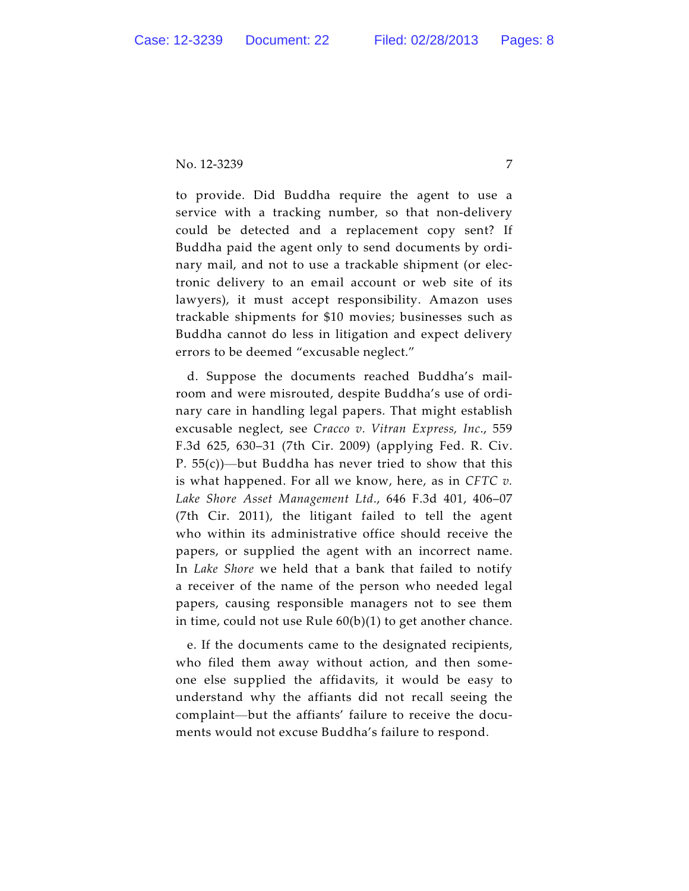No. 12-3239 7

to provide. Did Buddha require the agent to use a service with a tracking number, so that non-delivery could be detected and a replacement copy sent? If Buddha paid the agent only to send documents by ordinary mail, and not to use a trackable shipment (or electronic delivery to an email account or web site of its lawyers), it must accept responsibility. Amazon uses trackable shipments for \$10 movies; businesses such as Buddha cannot do less in litigation and expect delivery errors to be deemed "excusable neglect."

d. Suppose the documents reached Buddha's mailroom and were misrouted, despite Buddha's use of ordinary care in handling legal papers. That might establish excusable neglect, see *Cracco v. Vitran Express, Inc*., 559 F.3d 625, 630–31 (7th Cir. 2009) (applying Fed. R. Civ. P.  $55(c)$ )—but Buddha has never tried to show that this is what happened. For all we know, here, as in *CFTC v. Lake Shore Asset Management Ltd*., 646 F.3d 401, 406–07 (7th Cir. 2011), the litigant failed to tell the agent who within its administrative office should receive the papers, or supplied the agent with an incorrect name. In *Lake Shore* we held that a bank that failed to notify a receiver of the name of the person who needed legal papers, causing responsible managers not to see them in time, could not use Rule 60(b)(1) to get another chance.

e. If the documents came to the designated recipients, who filed them away without action, and then someone else supplied the affidavits, it would be easy to understand why the affiants did not recall seeing the complaint—but the affiants' failure to receive the documents would not excuse Buddha's failure to respond.